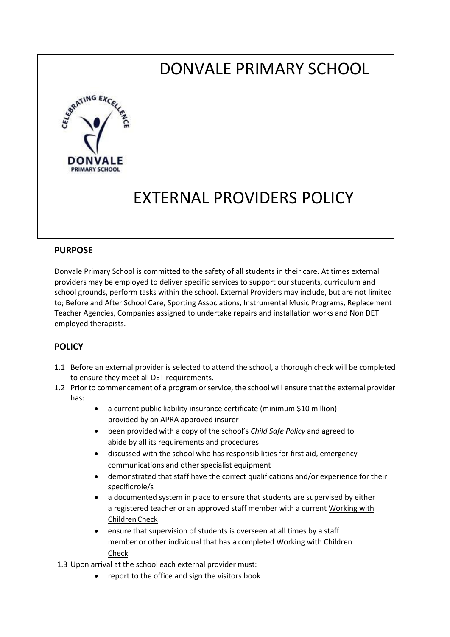# DONVALE PRIMARY SCHOOL



## EXTERNAL PROVIDERS POLICY

#### **PURPOSE**

Donvale Primary School is committed to the safety of all students in their care. At times external providers may be employed to deliver specific services to support our students, curriculum and school grounds, perform tasks within the school. External Providers may include, but are not limited to; Before and After School Care, Sporting Associations, Instrumental Music Programs, Replacement Teacher Agencies, Companies assigned to undertake repairs and installation works and Non DET employed therapists.

#### **POLICY**

- 1.1 Before an external provider is selected to attend the school, a thorough check will be completed to ensure they meet all DET requirements.
- 1.2 Prior to commencement of a program or service, the school will ensure that the external provider has:
	- a current public liability insurance certificate (minimum \$10 million) provided by an APRA approved insurer
	- been provided with a copy of the school's *Child Safe Policy* and agreed to abide by all its requirements and procedures
	- discussed with the school who has responsibilities for first aid, emergency communications and other specialist equipment
	- demonstrated that staff have the correct qualifications and/or experience for their specificrole/s
	- a documented system in place to ensure that students are supervised by either a registered teacher or an approved staff member with a current Working with [ChildrenCheck](http://www.justice.vic.gov.au/workingwithchildren)
	- ensure that supervision of students is overseen at all times by a staff member or other individual that has a complete[d Working with Children](http://www.justice.vic.gov.au/workingwithchildren) [Check](http://www.justice.vic.gov.au/workingwithchildren)

1.3 Upon arrival at the school each external provider must:

report to the office and sign the visitors book